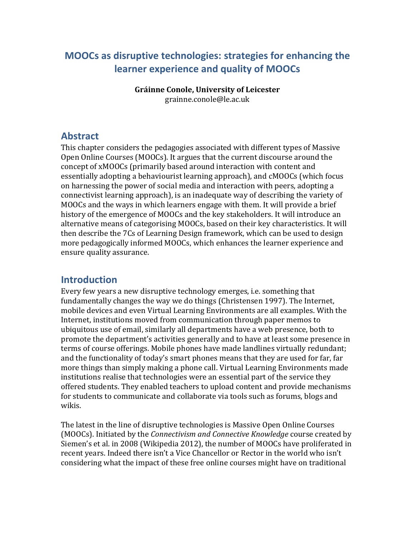# **MOOCs as disruptive technologies: strategies for enhancing the learner experience and quality of MOOCs**

**Gráinne Conole, University of Leicester** grainne.conole@le.ac.uk

# **Abstract**

This chapter considers the pedagogies associated with different types of Massive Open Online Courses (MOOCs). It argues that the current discourse around the concept of xMOOCs (primarily based around interaction with content and essentially adopting a behaviourist learning approach), and cMOOCs (which focus on harnessing the power of social media and interaction with peers, adopting a connectivist learning approach), is an inadequate way of describing the variety of MOOCs and the ways in which learners engage with them. It will provide a brief history of the emergence of MOOCs and the key stakeholders. It will introduce an alternative means of categorising MOOCs, based on their key characteristics. It will then describe the 7Cs of Learning Design framework, which can be used to design more pedagogically informed MOOCs, which enhances the learner experience and ensure quality assurance.

# **Introduction**

Every few years a new disruptive technology emerges, i.e. something that fundamentally changes the way we do things [\(Christensen 1997\)](#page-15-0). The Internet, mobile devices and even Virtual Learning Environments are all examples. With the Internet, institutions moved from communication through paper memos to ubiquitous use of email, similarly all departments have a web presence, both to promote the department's activities generally and to have at least some presence in terms of course offerings. Mobile phones have made landlines virtually redundant; and the functionality of today's smart phones means that they are used for far, far more things than simply making a phone call. Virtual Learning Environments made institutions realise that technologies were an essential part of the service they offered students. They enabled teachers to upload content and provide mechanisms for students to communicate and collaborate via tools such as forums, blogs and wikis.

The latest in the line of disruptive technologies is Massive Open Online Courses (MOOCs). Initiated by the *Connectivism and Connective Knowledge* course created by Siemen's et al. in 2008 [\(Wikipedia 2012\)](#page-18-0), the number of MOOCs have proliferated in recent years. Indeed there isn't a Vice Chancellor or Rector in the world who isn't considering what the impact of these free online courses might have on traditional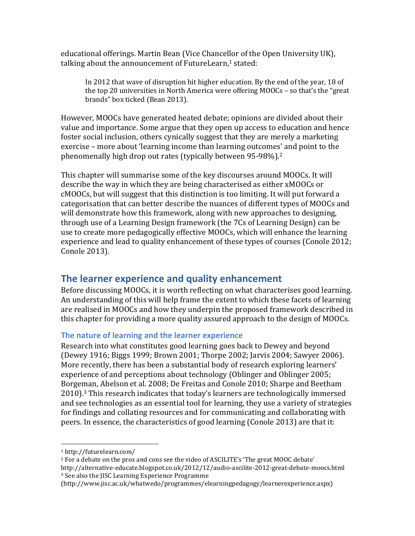educational offerings. Martin Bean (Vice Chancellor of the Open University UK), talking about the announcement of FutureLearn, <sup>1</sup> stated:

In 2012 that wave of disruption hit higher education. By the end of the year, 18 of the top 20 universities in North America were offering MOOCs – so that's the "great brands" box ticked [\(Bean 2013\)](#page-15-1).

However, MOOCs have generated heated debate; opinions are divided about their value and importance. Some argue that they open up access to education and hence foster social inclusion, others cynically suggest that they are merely a marketing exercise – more about 'learning income than learning outcomes' and point to the phenomenally high drop out rates (typically between 95-98%).<sup>2</sup>

This chapter will summarise some of the key discourses around MOOCs. It will describe the way in which they are being characterised as either xMOOCs or cMOOCs, but will suggest that this distinction is too limiting. It will put forward a categorisation that can better describe the nuances of different types of MOOCs and will demonstrate how this framework, along with new approaches to designing, through use of a Learning Design framework (the 7Cs of Learning Design) can be use to create more pedagogically effective MOOCs, which will enhance the learning experience and lead to quality enhancement of these types of courses [\(Conole 2012;](#page-15-2) [Conole 2013\)](#page-16-0).

## **The learner experience and quality enhancement**

Before discussing MOOCs, it is worth reflecting on what characterises good learning. An understanding of this will help frame the extent to which these facets of learning are realised in MOOCs and how they underpin the proposed framework described in this chapter for providing a more quality assured approach to the design of MOOCs.

### **The nature of learning and the learner experience**

Research into what constitutes good learning goes back to Dewey and beyond [\(Dewey 1916;](#page-16-1) [Biggs 1999;](#page-15-3) [Brown 2001;](#page-15-4) [Thorpe 2002;](#page-17-0) [Jarvis 2004;](#page-17-1) [Sawyer 2006\)](#page-17-2). More recently, there has been a substantial body of research exploring learners' experience of and perceptions about technology [\(Oblinger and Oblinger 2005;](#page-17-3) [Borgeman, Abelson et al. 2008;](#page-15-5) [De Freitas and Conole 2010;](#page-16-2) [Sharpe and Beetham](#page-17-4)  [2010\)](#page-17-4). <sup>3</sup> This research indicates that today's learners are technologically immersed and see technologies as an essential tool for learning, they use a variety of strategies for findings and collating resources and for communicating and collaborating with peers. In essence, the characteristics of good learning [\(Conole 2013\)](#page-16-3) are that it:

l

<sup>1</sup> http://futurelearn.com/

<sup>2</sup> For a debate on the pros and cons see the video of ASCILITE's 'The great MOOC debate' http://alternative-educate.blogspot.co.uk/2012/12/audio-ascilite-2012-great-debate-moocs.html <sup>3</sup> See also the JISC Learning Experience Programme

<sup>(</sup>http://www.jisc.ac.uk/whatwedo/programmes/elearningpedagogy/learnerexperience.aspx)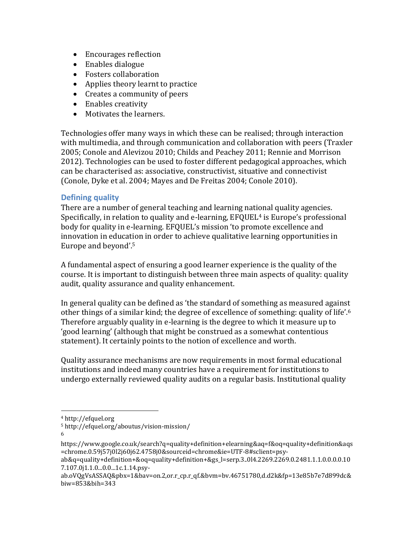- Encourages reflection
- Enables dialogue
- Fosters collaboration
- Applies theory learnt to practice
- Creates a community of peers
- Enables creativity
- Motivates the learners.

Technologies offer many ways in which these can be realised; through interaction with multimedia, and through communication and collaboration with peers [\(Traxler](#page-18-1)  [2005;](#page-18-1) [Conole and Alevizou 2010;](#page-16-4) [Childs and Peachey 2011;](#page-15-6) [Rennie and Morrison](#page-17-5)  [2012\)](#page-17-5). Technologies can be used to foster different pedagogical approaches, which can be characterised as: associative, constructivist, situative and connectivist [\(Conole, Dyke et al. 2004;](#page-16-5) [Mayes and De Freitas 2004;](#page-17-6) [Conole 2010\)](#page-15-7).

### **Defining quality**

There are a number of general teaching and learning national quality agencies. Specifically, in relation to quality and e-learning, EFQUEL<sup>4</sup> is Europe's professional body for quality in e-learning. EFQUEL's mission 'to promote excellence and innovation in education in order to achieve qualitative learning opportunities in Europe and beyond'. 5

A fundamental aspect of ensuring a good learner experience is the quality of the course. It is important to distinguish between three main aspects of quality: quality audit, quality assurance and quality enhancement.

In general quality can be defined as 'the standard of something as measured against other things of a similar kind; the degree of excellence of something: quality of life'. 6 Therefore arguably quality in e-learning is the degree to which it measure up to 'good learning' (although that might be construed as a somewhat contentious statement). It certainly points to the notion of excellence and worth.

Quality assurance mechanisms are now requirements in most formal educational institutions and indeed many countries have a requirement for institutions to undergo externally reviewed quality audits on a regular basis. Institutional quality

6

 $\overline{a}$ 

<sup>4</sup> http://efquel.org

<sup>5</sup> http://efquel.org/aboutus/vision-mission/

https://www.google.co.uk/search?q=quality+definition+elearning&aq=f&oq=quality+definition&aqs =chrome.0.59j57j0l2j60j62.4758j0&sourceid=chrome&ie=UTF-8#sclient=psy-

ab&q=quality+definition+&oq=quality+definition+&gs\_l=serp.3..0l4.2269.2269.0.2481.1.1.0.0.0.0.10 7.107.0j1.1.0...0.0...1c.1.14.psy-

ab.oVQgVsASSAQ&pbx=1&bav=on.2,or.r\_cp.r\_qf.&bvm=bv.46751780,d.d2k&fp=13e85b7e7d899dc& biw=853&bih=343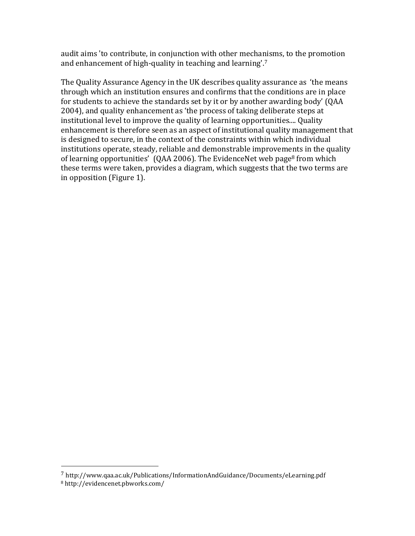audit aims 'to contribute, in conjunction with other mechanisms, to the promotion and enhancement of high-quality in teaching and learning'.<sup>7</sup>

The Quality Assurance Agency in the UK describes quality assurance as 'the means through which an institution ensures and confirms that the conditions are in place for students to achieve the standards set by it or by another awarding body' (QAA 2004), and quality enhancement as 'the process of taking deliberate steps at institutional level to improve the quality of learning opportunities.... Quality enhancement is therefore seen as an aspect of institutional quality management that is designed to secure, in the context of the constraints within which individual institutions operate, steady, reliable and demonstrable improvements in the quality of learning opportunities' (QAA 2006). The EvidenceNet web page<sup>8</sup> from which these terms were taken, provides a diagram, which suggests that the two terms are in opposition (Figure 1).

<sup>7</sup> http://www.qaa.ac.uk/Publications/InformationAndGuidance/Documents/eLearning.pdf

<sup>8</sup> http://evidencenet.pbworks.com/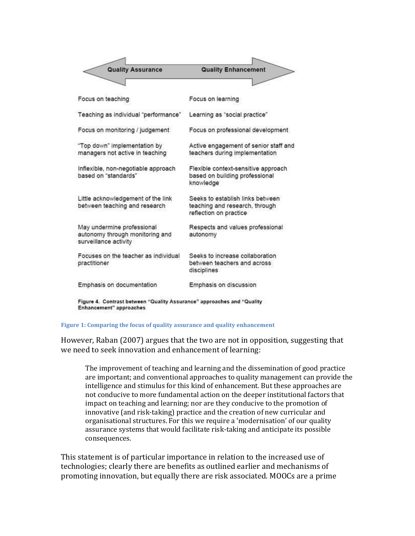| <b>Quality Assurance</b>                                                               | <b>Quality Enhancement</b>                                                                   |
|----------------------------------------------------------------------------------------|----------------------------------------------------------------------------------------------|
|                                                                                        |                                                                                              |
| Focus on teaching                                                                      | Focus on learning                                                                            |
| Teaching as individual "performance"                                                   | Learning as "social practice"                                                                |
| Focus on monitoring / judgement                                                        | Focus on professional development                                                            |
| "Top down" implementation by<br>managers not active in teaching                        | Active engagement of senior staff and<br>teachers during implementation                      |
| Inflexible, non-negotiable approach<br>based on "standards"                            | Flexible context-sensitive approach<br>based on building professional<br>knowledge           |
| Little acknowledgement of the link<br>between teaching and research                    | Seeks to establish links between<br>teaching and research, through<br>reflection on practice |
| May undermine professional<br>autonomy through monitoring and<br>surveillance activity | Respects and values professional<br>autonomy                                                 |
| Focuses on the teacher as individual<br>practitioner                                   | Seeks to increase collaboration<br>between teachers and across<br>disciplines                |
| Emphasis on documentation                                                              | Emphasis on discussion                                                                       |
|                                                                                        |                                                                                              |

Figure 4. Contrast between "Quality Assurance" approaches and "Quality Enhancement" approaches

#### **Figure 1: Comparing the focus of quality assurance and quality enhancement**

However, Raban [\(2007\)](#page-17-7) argues that the two are not in opposition, suggesting that we need to seek innovation and enhancement of learning:

The improvement of teaching and learning and the dissemination of good practice are important; and conventional approaches to quality management can provide the intelligence and stimulus for this kind of enhancement. But these approaches are not conducive to more fundamental action on the deeper institutional factors that impact on teaching and learning; nor are they conducive to the promotion of innovative (and risk-taking) practice and the creation of new curricular and organisational structures. For this we require a 'modernisation' of our quality assurance systems that would facilitate risk-taking and anticipate its possible consequences.

This statement is of particular importance in relation to the increased use of technologies; clearly there are benefits as outlined earlier and mechanisms of promoting innovation, but equally there are risk associated. MOOCs are a prime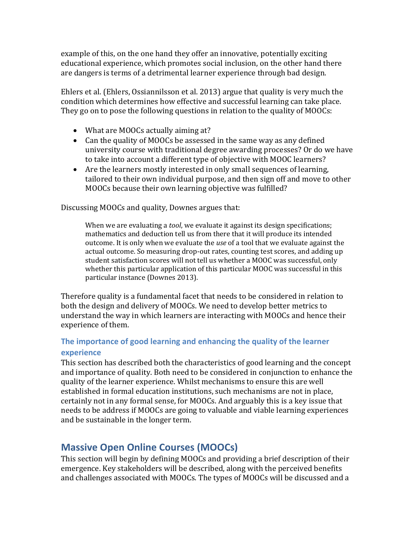example of this, on the one hand they offer an innovative, potentially exciting educational experience, which promotes social inclusion, on the other hand there are dangers is terms of a detrimental learner experience through bad design.

Ehlers et al. [\(Ehlers, Ossiannilsson et](#page-17-8) al. 2013) argue that quality is very much the condition which determines how effective and successful learning can take place. They go on to pose the following questions in relation to the quality of MOOCs:

- What are MOOCs actually aiming at?
- Can the quality of MOOCs be assessed in the same way as any defined university course with traditional degree awarding processes? Or do we have to take into account a different type of objective with MOOC learners?
- Are the learners mostly interested in only small sequences of learning, tailored to their own individual purpose, and then sign off and move to other MOOCs because their own learning objective was fulfilled?

Discussing MOOCs and quality, Downes argues that:

When we are evaluating a *tool*, we evaluate it against its design specifications; mathematics and deduction tell us from there that it will produce its intended outcome. It is only when we evaluate the *use* of a tool that we evaluate against the actual outcome. So measuring drop-out rates, counting test scores, and adding up student satisfaction scores will not tell us whether a MOOC was successful, only whether this particular application of this particular MOOC was successful in this particular instance [\(Downes 2013\)](#page-16-6).

Therefore quality is a fundamental facet that needs to be considered in relation to both the design and delivery of MOOCs. We need to develop better metrics to understand the way in which learners are interacting with MOOCs and hence their experience of them.

### **The importance of good learning and enhancing the quality of the learner experience**

This section has described both the characteristics of good learning and the concept and importance of quality. Both need to be considered in conjunction to enhance the quality of the learner experience. Whilst mechanisms to ensure this are well established in formal education institutions, such mechanisms are not in place, certainly not in any formal sense, for MOOCs. And arguably this is a key issue that needs to be address if MOOCs are going to valuable and viable learning experiences and be sustainable in the longer term.

# **Massive Open Online Courses (MOOCs)**

This section will begin by defining MOOCs and providing a brief description of their emergence. Key stakeholders will be described, along with the perceived benefits and challenges associated with MOOCs. The types of MOOCs will be discussed and a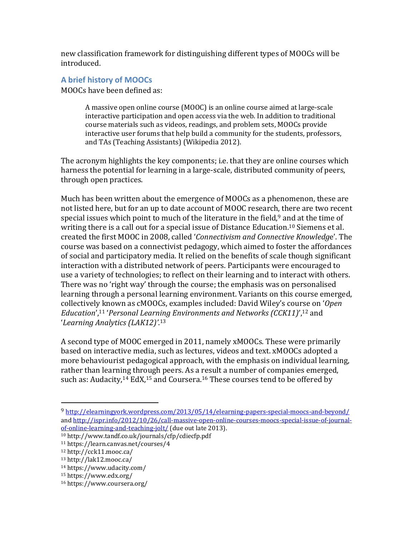new classification framework for distinguishing different types of MOOCs will be introduced.

### **A brief history of MOOCs**

MOOCs have been defined as:

A massive open online course (MOOC) is an online course aimed at large-scale interactive participation and open access via the web. In addition to traditional course materials such as videos, readings, and problem sets, MOOCs provide interactive user forums that help build a community for the students, professors, and TAs (Teaching Assistants) [\(Wikipedia 2012\)](#page-18-0).

The acronym highlights the key components; i.e. that they are online courses which harness the potential for learning in a large-scale, distributed community of peers, through open practices.

Much has been written about the emergence of MOOCs as a phenomenon, these are not listed here, but for an up to date account of MOOC research, there are two recent special issues which point to much of the literature in the field, $9$  and at the time of writing there is a call out for a special issue of Distance Education.<sup>10</sup> Siemens et al. created the first MOOC in 2008, called '*Connectivism and Connective Knowledg*e'. The course was based on a connectivist pedagogy, which aimed to foster the affordances of social and participatory media. It relied on the benefits of scale though significant interaction with a distributed network of peers. Participants were encouraged to use a variety of technologies; to reflect on their learning and to interact with others. There was no 'right way' through the course; the emphasis was on personalised learning through a personal learning environment. Variants on this course emerged, collectively known as cMOOCs, examples included: David Wiley's course on '*Open Education*',<sup>11</sup> '*Personal Learning Environments and Networks (CCK11)*',<sup>12</sup> and '*Learning Analytics (LAK12)'*. 13

A second type of MOOC emerged in 2011, namely xMOOCs. These were primarily based on interactive media, such as lectures, videos and text. xMOOCs adopted a more behaviourist pedagogical approach, with the emphasis on individual learning, rather than learning through peers. As a result a number of companies emerged, such as: Audacity,<sup>14</sup> EdX,<sup>15</sup> and Coursera.<sup>16</sup> These courses tend to be offered by

<sup>9</sup> <http://elearningyork.wordpress.com/2013/05/14/elearning-papers-special-moocs-and-beyond/> and [http://ispr.info/2012/10/26/call-massive-open-online-courses-moocs-special-issue-of-journal](http://ispr.info/2012/10/26/call-massive-open-online-courses-moocs-special-issue-of-journal-of-online-learning-and-teaching-jolt/)[of-online-learning-and-teaching-jolt/](http://ispr.info/2012/10/26/call-massive-open-online-courses-moocs-special-issue-of-journal-of-online-learning-and-teaching-jolt/) (due out late 2013).

<sup>10</sup> http://www.tandf.co.uk/journals/cfp/cdiecfp.pdf

<sup>11</sup> https://learn.canvas.net/courses/4

<sup>12</sup> http://cck11.mooc.ca/

<sup>13</sup> http://lak12.mooc.ca/

<sup>14</sup> https://www.udacity.com/

<sup>15</sup> https://www.edx.org/

<sup>16</sup> https://www.coursera.org/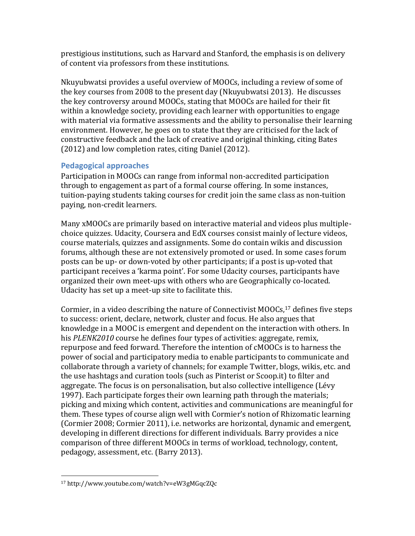prestigious institutions, such as Harvard and Stanford, the emphasis is on delivery of content via professors from these institutions.

Nkuyubwatsi provides a useful overview of MOOCs, including a review of some of the key courses from 2008 to the present day [\(Nkuyubwatsi 2013\)](#page-17-9). He discusses the key controversy around MOOCs, stating that MOOCs are hailed for their fit within a knowledge society, providing each learner with opportunities to engage with material via formative assessments and the ability to personalise their learning environment. However, he goes on to state that they are criticised for the lack of constructive feedback and the lack of creative and original thinking, citing Bates [\(2012\)](#page-15-8) and low completion rates, citing Daniel [\(2012\)](#page-16-7).

### **Pedagogical approaches**

Participation in MOOCs can range from informal non-accredited participation through to engagement as part of a formal course offering. In some instances, tuition-paying students taking courses for credit join the same class as non-tuition paying, non-credit learners.

Many xMOOCs are primarily based on interactive material and videos plus multiplechoice quizzes. Udacity, Coursera and EdX courses consist mainly of lecture videos, course materials, quizzes and assignments. Some do contain wikis and discussion forums, although these are not extensively promoted or used. In some cases forum posts can be up- or down-voted by other participants; if a post is up-voted that participant receives a 'karma point'. For some Udacity courses, participants have organized their own meet-ups with others who are Geographically co-located. Udacity has set up a meet-up site to facilitate this.

Cormier, in a video describing the nature of Connectivist MOOCs,<sup>17</sup> defines five steps to success: orient, declare, network, cluster and focus. He also argues that knowledge in a MOOC is emergent and dependent on the interaction with others. In his *PLENK2010* course he defines four types of activities: aggregate, remix, repurpose and feed forward. Therefore the intention of cMOOCs is to harness the power of social and participatory media to enable participants to communicate and collaborate through a variety of channels; for example Twitter, blogs, wikis, etc. and the use hashtags and curation tools (such as Pinterist or Scoop.it) to filter and aggregate. The focus is on personalisation, but also collective intelligence [\(Lévy](#page-17-10)  [1997\)](#page-17-10). Each participate forges their own learning path through the materials; picking and mixing which content, activities and communications are meaningful for them. These types of course align well with Cormier's notion of Rhizomatic learning [\(Cormier 2008;](#page-16-8) [Cormier 2011\)](#page-16-9), i.e. networks are horizontal, dynamic and emergent, developing in different directions for different individuals. Barry provides a nice comparison of three different MOOCs in terms of workload, technology, content, pedagogy, assessment, etc. [\(Barry 2013\)](#page-15-9).

l <sup>17</sup> http://www.youtube.com/watch?v=eW3gMGqcZQc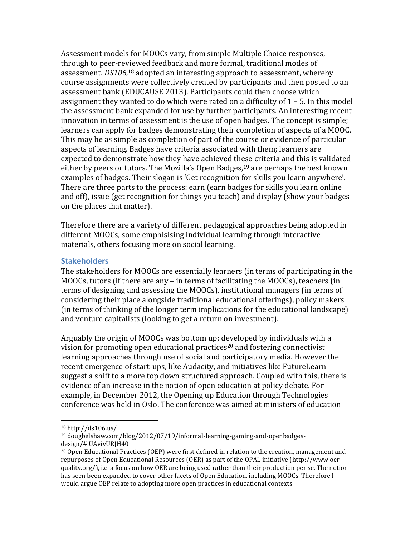Assessment models for MOOCs vary, from simple Multiple Choice responses, through to peer-reviewed feedback and more formal, traditional modes of assessment. *DS106,* <sup>18</sup> adopted an interesting approach to assessment, whereby course assignments were collectively created by participants and then posted to an assessment bank [\(EDUCAUSE 2013\)](#page-17-11). Participants could then choose which assignment they wanted to do which were rated on a difficulty of  $1 - 5$ . In this model the assessment bank expanded for use by further participants. An interesting recent innovation in terms of assessment is the use of open badges. The concept is simple; learners can apply for badges demonstrating their completion of aspects of a MOOC. This may be as simple as completion of part of the course or evidence of particular aspects of learning. Badges have criteria associated with them; learners are expected to demonstrate how they have achieved these criteria and this is validated either by peers or tutors. The Mozilla's Open Badges,  $19$  are perhaps the best known examples of badges. Their slogan is 'Get recognition for skills you learn anywhere'. There are three parts to the process: earn (earn badges for skills you learn online and off), issue (get recognition for things you teach) and display (show your badges on the places that matter).

Therefore there are a variety of different pedagogical approaches being adopted in different MOOCs, some emphisising individual learning through interactive materials, others focusing more on social learning.

#### **Stakeholders**

The stakeholders for MOOCs are essentially learners (in terms of participating in the MOOCs, tutors (if there are any – in terms of facilitating the MOOCs), teachers (in terms of designing and assessing the MOOCs), institutional managers (in terms of considering their place alongside traditional educational offerings), policy makers (in terms of thinking of the longer term implications for the educational landscape) and venture capitalists (looking to get a return on investment).

Arguably the origin of MOOCs was bottom up; developed by individuals with a vision for promoting open educational practices<sup>20</sup> and fostering connectivist learning approaches through use of social and participatory media. However the recent emergence of start-ups, like Audacity, and initiatives like FutureLearn suggest a shift to a more top down structured approach. Coupled with this, there is evidence of an increase in the notion of open education at policy debate. For example, in December 2012, the Opening up Education through Technologies conference was held in Oslo. The conference was aimed at ministers of education

<sup>18</sup> http://ds106.us/

<sup>19</sup> dougbelshaw.com/blog/2012/07/19/informal-learning-gaming-and-openbadgesdesign/#.UAviyURJH40

<sup>20</sup> Open Educational Practices (OEP) were first defined in relation to the creation, management and repurposes of Open Educational Resources (OER) as part of the OPAL initiative (http://www.oerquality.org/), i.e. a focus on how OER are being used rather than their production per se. The notion has seen been expanded to cover other facets of Open Education, including MOOCs. Therefore I would argue OEP relate to adopting more open practices in educational contexts.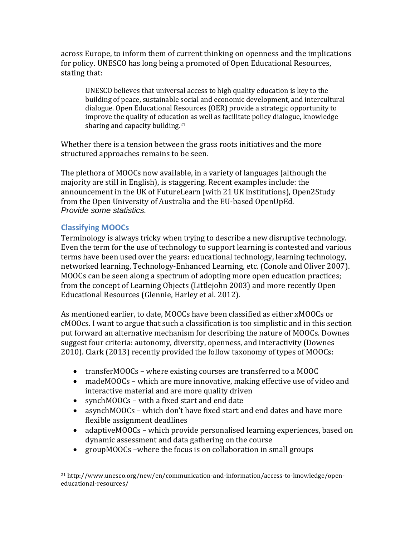across Europe, to inform them of current thinking on openness and the implications for policy. UNESCO has long being a promoted of Open Educational Resources, stating that:

UNESCO believes that universal access to high quality education is key to the building of peace, sustainable social and economic development, and intercultural dialogue. Open Educational Resources (OER) provide a strategic opportunity to improve the quality of education as well as facilitate policy dialogue, knowledge sharing and capacity building.<sup>21</sup>

Whether there is a tension between the grass roots initiatives and the more structured approaches remains to be seen.

The plethora of MOOCs now available, in a variety of languages (although the majority are still in English), is staggering. Recent examples include: the announcement in the UK of FutureLearn (with 21 UK institutions), Open2Study from the Open University of Australia and the EU-based OpenUpEd. *Provide some statistics.*

### **Classifying MOOCs**

 $\overline{\phantom{a}}$ 

Terminology is always tricky when trying to describe a new disruptive technology. Even the term for the use of technology to support learning is contested and various terms have been used over the years: educational technology, learning technology, networked learning, Technology-Enhanced Learning, etc. [\(Conole and Oliver 2007\)](#page-16-10). MOOCs can be seen along a spectrum of adopting more open education practices; from the concept of Learning Objects [\(Littlejohn 2003\)](#page-17-12) and more recently Open Educational Resources [\(Glennie, Harley et al. 2012\)](#page-17-13).

As mentioned earlier, to date, MOOCs have been classified as either xMOOCs or cMOOcs. I want to argue that such a classification is too simplistic and in this section put forward an alternative mechanism for describing the nature of MOOCs. Downes suggest four criteria: autonomy, diversity, openness, and interactivity [\(Downes](#page-16-11)  [2010\)](#page-16-11). Clark [\(2013\)](#page-15-10) recently provided the follow taxonomy of types of MOOCs:

- transferMOOCs where existing courses are transferred to a MOOC
- madeMOOCs which are more innovative, making effective use of video and interactive material and are more quality driven
- synchMOOCs with a fixed start and end date
- asynchMOOCs which don't have fixed start and end dates and have more flexible assignment deadlines
- adaptiveMOOCs which provide personalised learning experiences, based on dynamic assessment and data gathering on the course
- groupMOOCs –where the focus is on collaboration in small groups

<sup>21</sup> http://www.unesco.org/new/en/communication-and-information/access-to-knowledge/openeducational-resources/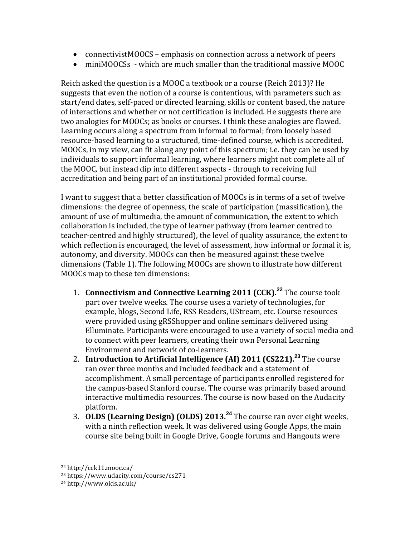- connectivistMOOCS emphasis on connection across a network of peers
- miniMOOCSs which are much smaller than the traditional massive MOOC

Reich asked the question is a MOOC a textbook or a course [\(Reich 2013\)](#page-17-14)? He suggests that even the notion of a course is contentious, with parameters such as: start/end dates, self-paced or directed learning, skills or content based, the nature of interactions and whether or not certification is included. He suggests there are two analogies for MOOCs; as books or courses. I think these analogies are flawed. Learning occurs along a spectrum from informal to formal; from loosely based resource-based learning to a structured, time-defined course, which is accredited. MOOCs, in my view, can fit along any point of this spectrum; i.e. they can be used by individuals to support informal learning, where learners might not complete all of the MOOC, but instead dip into different aspects - through to receiving full accreditation and being part of an institutional provided formal course.

I want to suggest that a better classification of MOOCs is in terms of a set of twelve dimensions: the degree of openness, the scale of participation (massification), the amount of use of multimedia, the amount of communication, the extent to which collaboration is included, the type of learner pathway (from learner centred to teacher-centred and highly structured), the level of quality assurance, the extent to which reflection is encouraged, the level of assessment, how informal or formal it is, autonomy, and diversity. MOOCs can then be measured against these twelve dimensions (Table 1). The following MOOCs are shown to illustrate how different MOOCs map to these ten dimensions:

- 1. **Connectivism and Connective Learning 2011 (CCK). <sup>22</sup>** The course took part over twelve weeks. The course uses a variety of technologies, for example, blogs, Second Life, RSS Readers, UStream, etc. Course resources were provided using gRSShopper and online seminars delivered using Elluminate. Participants were encouraged to use a variety of social media and to connect with peer learners, creating their own Personal Learning Environment and network of co-learners.
- 2. **Introduction to Artificial Intelligence (AI) 2011 (CS221).<sup>23</sup>** The course ran over three months and included feedback and a statement of accomplishment. A small percentage of participants enrolled registered for the campus-based Stanford course. The course was primarily based around interactive multimedia resources. The course is now based on the Audacity platform.
- 3. **OLDS (Learning Design) (OLDS) 2013.<sup>24</sup>** The course ran over eight weeks, with a ninth reflection week. It was delivered using Google Apps, the main course site being built in Google Drive, Google forums and Hangouts were

<sup>22</sup> http://cck11.mooc.ca/

<sup>23</sup> https://www.udacity.com/course/cs271

<sup>24</sup> http://www.olds.ac.uk/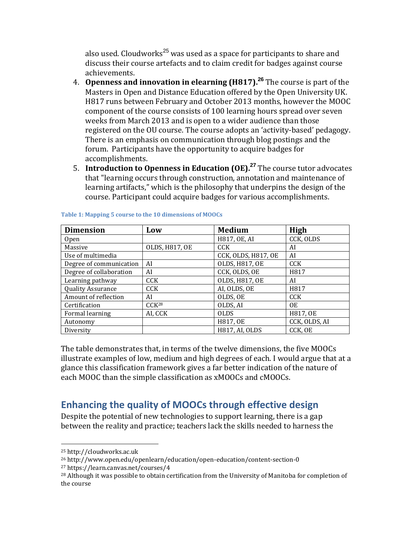also used. Cloudworks<sup>25</sup> was used as a space for participants to share and discuss their course artefacts and to claim credit for badges against course achievements.

- 4. **Openness and innovation in elearning (H817). <sup>26</sup>** The course is part of the Masters in Open and Distance Education offered by the Open University UK. H817 runs between February and October 2013 months, however the MOOC component of the course consists of 100 learning hours spread over seven weeks from March 2013 and is open to a wider audience than those registered on the OU course. The course adopts an 'activity-based' pedagogy. There is an emphasis on communication through blog postings and the forum. Participants have the opportunity to acquire badges for accomplishments.
- 5. **Introduction to Openness in Education (OE). <sup>27</sup>** The course tutor advocates that "learning occurs through construction, annotation and maintenance of learning artifacts," which is the philosophy that underpins the design of the course. Participant could acquire badges for various accomplishments.

| <b>Dimension</b>         | Low               | <b>Medium</b>         | High          |
|--------------------------|-------------------|-----------------------|---------------|
| 0 <sub>pen</sub>         |                   | H817, OE, AI          | CCK, OLDS     |
| Massive                  | OLDS, H817, OE    | CCK.                  | AI            |
| Use of multimedia        |                   | CCK, OLDS, H817, OE   | AI            |
| Degree of communication  | AI                | OLDS, H817, OE        | <b>CCK</b>    |
| Degree of collaboration  | AI                | CCK, OLDS, OE         | H817          |
| Learning pathway         | <b>CCK</b>        | OLDS, H817, OE        | AI            |
| <b>Quality Assurance</b> | <b>CCK</b>        | AI, OLDS, OE          | H817          |
| Amount of reflection     | AI                | OLDS, OE              | <b>CCK</b>    |
| Certification            | CCK <sup>28</sup> | OLDS, AI              | 0E            |
| Formal learning          | AI, CCK           | <b>OLDS</b>           | H817, OE      |
| Autonomy                 |                   | H817, OE              | CCK, OLDS, AI |
| Diversity                |                   | <b>H817, AI, OLDS</b> | CCK, OE       |

#### **Table 1: Mapping 5 course to the 10 dimensions of MOOCs**

The table demonstrates that, in terms of the twelve dimensions, the five MOOCs illustrate examples of low, medium and high degrees of each. I would argue that at a glance this classification framework gives a far better indication of the nature of each MOOC than the simple classification as xMOOCs and cMOOCs.

# **Enhancing the quality of MOOCs through effective design**

Despite the potential of new technologies to support learning, there is a gap between the reality and practice; teachers lack the skills needed to harness the

l

<sup>25</sup> http://cloudworks.ac.uk

<sup>26</sup> http://www.open.edu/openlearn/education/open-education/content-section-0

<sup>27</sup> https://learn.canvas.net/courses/4

<sup>&</sup>lt;sup>28</sup> Although it was possible to obtain certification from the University of Manitoba for completion of the course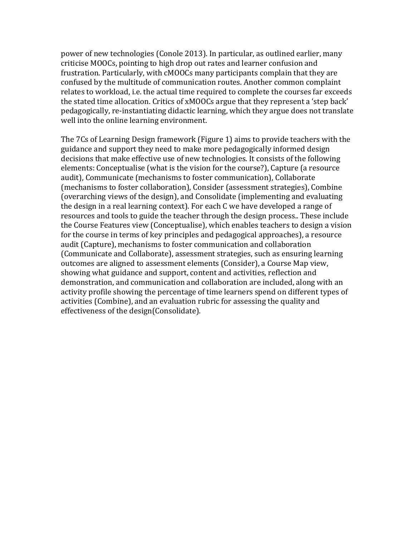power of new technologies [\(Conole 2013\)](#page-16-12). In particular, as outlined earlier, many criticise MOOCs, pointing to high drop out rates and learner confusion and frustration. Particularly, with cMOOCs many participants complain that they are confused by the multitude of communication routes. Another common complaint relates to workload, i.e. the actual time required to complete the courses far exceeds the stated time allocation. Critics of xMOOCs argue that they represent a 'step back' pedagogically, re-instantiating didactic learning, which they argue does not translate well into the online learning environment.

The 7Cs of Learning Design framework (Figure 1) aims to provide teachers with the guidance and support they need to make more pedagogically informed design decisions that make effective use of new technologies. It consists of the following elements: Conceptualise (what is the vision for the course?), Capture (a resource audit), Communicate (mechanisms to foster communication), Collaborate (mechanisms to foster collaboration), Consider (assessment strategies), Combine (overarching views of the design), and Consolidate (implementing and evaluating the design in a real learning context). For each C we have developed a range of resources and tools to guide the teacher through the design process.. These include the Course Features view (Conceptualise), which enables teachers to design a vision for the course in terms of key principles and pedagogical approaches), a resource audit (Capture), mechanisms to foster communication and collaboration (Communicate and Collaborate), assessment strategies, such as ensuring learning outcomes are aligned to assessment elements (Consider), a Course Map view, showing what guidance and support, content and activities, reflection and demonstration, and communication and collaboration are included, along with an activity profile showing the percentage of time learners spend on different types of activities (Combine), and an evaluation rubric for assessing the quality and effectiveness of the design(Consolidate).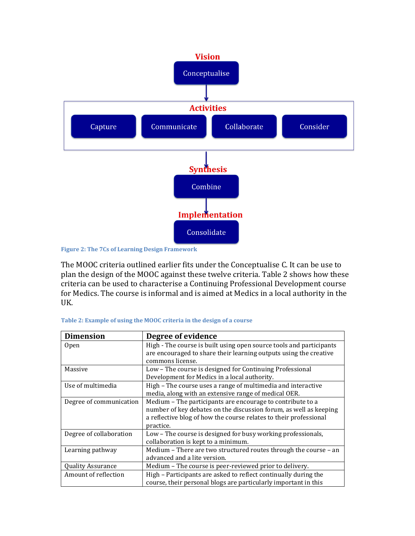

**Figure 2: The 7Cs of Learning Design Framework**

The MOOC criteria outlined earlier fits under the Conceptualise C. It can be use to plan the design of the MOOC against these twelve criteria. Table 2 shows how these criteria can be used to characterise a Continuing Professional Development course for Medics. The course is informal and is aimed at Medics in a local authority in the UK.

| <b>Dimension</b>         | Degree of evidence                                                  |
|--------------------------|---------------------------------------------------------------------|
| <b>Open</b>              | High - The course is built using open source tools and participants |
|                          | are encouraged to share their learning outputs using the creative   |
|                          | commons license.                                                    |
| Massive                  | Low - The course is designed for Continuing Professional            |
|                          | Development for Medics in a local authority.                        |
| Use of multimedia        | High - The course uses a range of multimedia and interactive        |
|                          | media, along with an extensive range of medical OER.                |
| Degree of communication  | Medium - The participants are encourage to contribute to a          |
|                          | number of key debates on the discussion forum, as well as keeping   |
|                          | a reflective blog of how the course relates to their professional   |
|                          | practice.                                                           |
| Degree of collaboration  | Low – The course is designed for busy working professionals,        |
|                          | collaboration is kept to a minimum.                                 |
| Learning pathway         | Medium - There are two structured routes through the course - an    |
|                          | advanced and a lite version.                                        |
| <b>Quality Assurance</b> | Medium - The course is peer-reviewed prior to delivery.             |
| Amount of reflection     | High - Participants are asked to reflect continually during the     |
|                          | course, their personal blogs are particularly important in this     |

**Table 2: Example of using the MOOC criteria in the design of a course**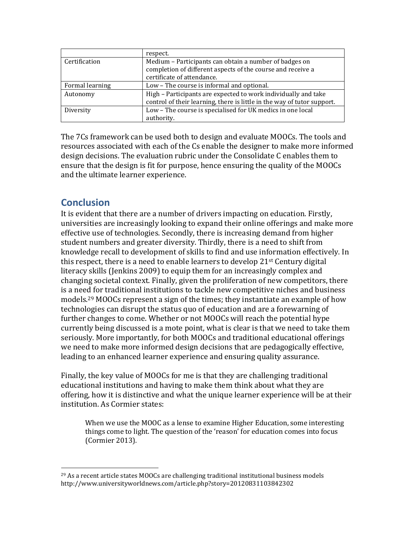|                 | respect.                                                                |
|-----------------|-------------------------------------------------------------------------|
| Certification   | Medium – Participants can obtain a number of badges on                  |
|                 | completion of different aspects of the course and receive a             |
|                 | certificate of attendance.                                              |
| Formal learning | Low - The course is informal and optional.                              |
| Autonomy        | High - Participants are expected to work individually and take          |
|                 | control of their learning, there is little in the way of tutor support. |
| Diversity       | Low - The course is specialised for UK medics in one local              |
|                 | authority.                                                              |

The 7Cs framework can be used both to design and evaluate MOOCs. The tools and resources associated with each of the Cs enable the designer to make more informed design decisions. The evaluation rubric under the Consolidate C enables them to ensure that the design is fit for purpose, hence ensuring the quality of the MOOCs and the ultimate learner experience.

# **Conclusion**

 $\overline{\phantom{a}}$ 

It is evident that there are a number of drivers impacting on education. Firstly, universities are increasingly looking to expand their online offerings and make more effective use of technologies. Secondly, there is increasing demand from higher student numbers and greater diversity. Thirdly, there is a need to shift from knowledge recall to development of skills to find and use information effectively. In this respect, there is a need to enable learners to develop  $21^{st}$  Century digital literacy skills [\(Jenkins 2009\)](#page-17-15) to equip them for an increasingly complex and changing societal context. Finally, given the proliferation of new competitors, there is a need for traditional institutions to tackle new competitive niches and business models.<sup>29</sup> MOOCs represent a sign of the times; they instantiate an example of how technologies can disrupt the status quo of education and are a forewarning of further changes to come. Whether or not MOOCs will reach the potential hype currently being discussed is a mote point, what is clear is that we need to take them seriously. More importantly, for both MOOCs and traditional educational offerings we need to make more informed design decisions that are pedagogically effective, leading to an enhanced learner experience and ensuring quality assurance.

Finally, the key value of MOOCs for me is that they are challenging traditional educational institutions and having to make them think about what they are offering, how it is distinctive and what the unique learner experience will be at their institution. As Cormier states:

When we use the MOOC as a lense to examine Higher Education, some interesting things come to light. The question of the 'reason' for education comes into focus [\(Cormier 2013\)](#page-16-13).

<sup>&</sup>lt;sup>29</sup> As a recent article states MOOCs are challenging traditional institutional business models http://www.universityworldnews.com/article.php?story=20120831103842302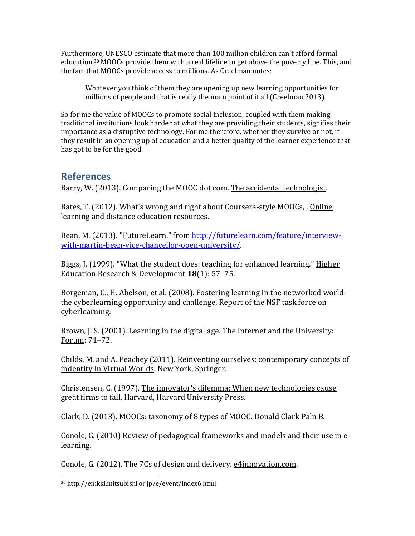Furthermore, UNESCO estimate that more than 100 million children can't afford formal education,<sup>30</sup> MOOCs provide them with a real lifeline to get above the poverty line. This, and the fact that MOOCs provide access to millions. As Creelman notes:

Whatever you think of them they are opening up new learning opportunities for millions of people and that is really the main point of it all [\(Creelman 2013\)](#page-16-14).

So for me the value of MOOCs to promote social inclusion, coupled with them making traditional institutions look harder at what they are providing their students, signifies their importance as a disruptive technology. For me therefore, whether they survive or not, if they result in an opening up of education and a better quality of the learner experience that has got to be for the good.

### **References**

<span id="page-15-9"></span>Barry, W. (2013). Comparing the MOOC dot com. The accidental technologist.

<span id="page-15-8"></span>Bates, T. (2012). What's wrong and right about Coursera-style MOOCs, . Online learning and distance education resources.

<span id="page-15-1"></span>Bean, M. (2013). "FutureLearn." from [http://futurelearn.com/feature/interview](http://futurelearn.com/feature/interview-with-martin-bean-vice-chancellor-open-university/)[with-martin-bean-vice-chancellor-open-university/.](http://futurelearn.com/feature/interview-with-martin-bean-vice-chancellor-open-university/)

<span id="page-15-3"></span>Biggs, J. (1999). "What the student does: teaching for enhanced learning." Higher Education Research & Development **18**(1): 57–75.

<span id="page-15-5"></span>Borgeman, C., H. Abelson, et al. (2008). Fostering learning in the networked world: the cyberlearning opportunity and challenge, Report of the NSF task force on cyberlearning.

<span id="page-15-4"></span>Brown, J. S. (2001). Learning in the digital age. The Internet and the University: Forum**:** 71–72.

<span id="page-15-6"></span>Childs, M. and A. Peachey (2011). Reinventing ourselves: contemporary concepts of indentity in Virtual Worlds. New York, Springer.

<span id="page-15-0"></span>Christensen, C. (1997). The innovator's dilemma: When new technologies cause great firms to fail. Harvard, Harvard University Press.

<span id="page-15-10"></span>Clark, D. (2013). MOOCs: taxonomy of 8 types of MOOC. Donald Clark Paln B.

<span id="page-15-7"></span>Conole, G. (2010) Review of pedagogical frameworks and models and their use in elearning.

<span id="page-15-2"></span>Conole, G. (2012). The 7Cs of design and delivery. e4innovation.com.

l

<sup>30</sup> http://enikki.mitsubishi.or.jp/e/event/index6.html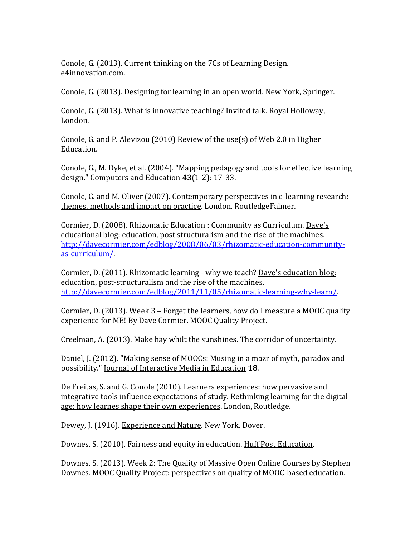<span id="page-16-0"></span>Conole, G. (2013). Current thinking on the 7Cs of Learning Design. e4innovation.com.

<span id="page-16-12"></span>Conole, G. (2013). Designing for learning in an open world. New York, Springer.

<span id="page-16-3"></span>Conole, G. (2013). What is innovative teaching? *Invited talk.* Royal Holloway, London.

<span id="page-16-4"></span>Conole, G. and P. Alevizou (2010) Review of the use(s) of Web 2.0 in Higher Education.

<span id="page-16-5"></span>Conole, G., M. Dyke, et al. (2004). "Mapping pedagogy and tools for effective learning design." Computers and Education **43**(1-2): 17-33.

<span id="page-16-10"></span>Conole, G. and M. Oliver (2007). Contemporary perspectives in e-learning research: themes, methods and impact on practice. London, RoutledgeFalmer.

<span id="page-16-8"></span>Cormier, D. (2008). Rhizomatic Education : Community as Curriculum. Dave's educational blog: education, post structuralism and the rise of the machines. [http://davecormier.com/edblog/2008/06/03/rhizomatic-education-community](http://davecormier.com/edblog/2008/06/03/rhizomatic-education-community-as-curriculum/)[as-curriculum/.](http://davecormier.com/edblog/2008/06/03/rhizomatic-education-community-as-curriculum/)

<span id="page-16-9"></span>Cormier, D. (2011). Rhizomatic learning - why we teach? Dave's education blog: education, post-structuralism and the rise of the machines. [http://davecormier.com/edblog/2011/11/05/rhizomatic-learning-why-learn/.](http://davecormier.com/edblog/2011/11/05/rhizomatic-learning-why-learn/)

<span id="page-16-13"></span>Cormier, D. (2013). Week 3 – Forget the learners, how do I measure a MOOC quality experience for ME! By Dave Cormier. MOOC Quality Project.

<span id="page-16-14"></span>Creelman, A. (2013). Make hay whilt the sunshines. The corridor of uncertainty.

<span id="page-16-7"></span>Daniel, J. (2012). "Making sense of MOOCs: Musing in a mazr of myth, paradox and possibility." Journal of Interactive Media in Education **18**.

<span id="page-16-2"></span>De Freitas, S. and G. Conole (2010). Learners experiences: how pervasive and integrative tools influence expectations of study. Rethinking learning for the digital age: how learnes shape their own experiences. London, Routledge.

<span id="page-16-1"></span>Dewey, J. (1916). Experience and Nature. New York, Dover.

<span id="page-16-11"></span>Downes, S. (2010). Fairness and equity in education. Huff Post Education.

<span id="page-16-6"></span>Downes, S. (2013). Week 2: The Quality of Massive Open Online Courses by Stephen Downes. MOOC Quality Project: perspectives on quality of MOOC-based education.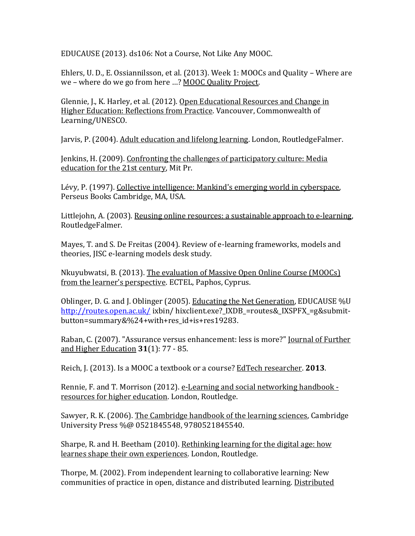<span id="page-17-11"></span>EDUCAUSE (2013). ds106: Not a Course, Not Like Any MOOC.

<span id="page-17-8"></span>Ehlers, U. D., E. Ossiannilsson, et al. (2013). Week 1: MOOCs and Quality – Where are we – where do we go from here …? MOOC Quality Project.

<span id="page-17-13"></span>Glennie, J., K. Harley, et al. (2012). Open Educational Resources and Change in Higher Education: Reflections from Practice. Vancouver, Commonwealth of Learning/UNESCO.

<span id="page-17-1"></span>Jarvis, P. (2004). Adult education and lifelong learning. London, RoutledgeFalmer.

<span id="page-17-15"></span>Jenkins, H. (2009). Confronting the challenges of participatory culture: Media education for the 21st century, Mit Pr.

<span id="page-17-10"></span>Lévy, P. (1997). Collective intelligence: Mankind's emerging world in cyberspace, Perseus Books Cambridge, MA, USA.

<span id="page-17-12"></span>Littlejohn, A. (2003). Reusing online resources: a sustainable approach to e-learning, RoutledgeFalmer.

<span id="page-17-6"></span>Mayes, T. and S. De Freitas (2004). Review of e-learning frameworks, models and theories, JISC e-learning models desk study.

<span id="page-17-9"></span>Nkuyubwatsi, B. (2013). The evaluation of Massive Open Online Course (MOOCs) from the learner's perspective. ECTEL, Paphos, Cyprus.

<span id="page-17-3"></span>Oblinger, D. G. and J. Oblinger (2005). Educating the Net Generation, EDUCAUSE %U <http://routes.open.ac.uk/> ixbin/ hixclient.exe?\_IXDB\_=routes&\_IXSPFX\_=g&submitbutton=summary&%24+with+res\_id+is+res19283.

<span id="page-17-7"></span>Raban, C. (2007). "Assurance versus enhancement: less is more?" Journal of Further and Higher Education **31**(1): 77 - 85.

<span id="page-17-14"></span>Reich, J. (2013). Is a MOOC a textbook or a course? EdTech researcher. **2013**.

<span id="page-17-5"></span>Rennie, F. and T. Morrison (2012). e-Learning and social networking handbook resources for higher education. London, Routledge.

<span id="page-17-2"></span>Sawyer, R. K. (2006). The Cambridge handbook of the learning sciences, Cambridge University Press %@ 0521845548, 9780521845540.

<span id="page-17-4"></span>Sharpe, R. and H. Beetham (2010). Rethinking learning for the digital age: how learnes shape their own experiences. London, Routledge.

<span id="page-17-0"></span>Thorpe, M. (2002). From independent learning to collaborative learning: New communities of practice in open, distance and distributed learning. Distributed